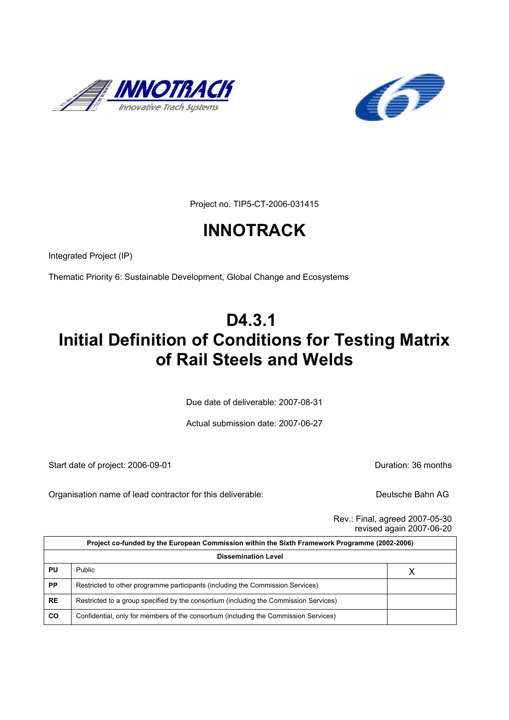



Project no. TIP5-CT-2006-031415

# **INNOTRACK**

Integrated Project (IP)

Thematic Priority 6: Sustainable Development, Global Change and Ecosystems

# **D4.3.1 Initial Definition of Conditions for Testing Matrix of Rail Steels and Welds**

Due date of deliverable: 2007-08-31

Actual submission date: 2007-06-27

Start date of project: 2006-09-01 contract the contract of project: 2006-09-01

Organisation name of lead contractor for this deliverable: Deutsche Bahn AG

Rev.: Final, agreed 2007-05-30 revised again 2007-06-20

| Project co-funded by the European Commission within the Sixth Framework Programme (2002-2006) |                                                                                       |   |  |
|-----------------------------------------------------------------------------------------------|---------------------------------------------------------------------------------------|---|--|
| <b>Dissemination Level</b>                                                                    |                                                                                       |   |  |
| PU                                                                                            | <b>Public</b>                                                                         | Χ |  |
| <b>PP</b>                                                                                     | Restricted to other programme participants (including the Commission Services)        |   |  |
| <b>RE</b>                                                                                     | Restricted to a group specified by the consortium (including the Commission Services) |   |  |
| <b>CO</b>                                                                                     | Confidential, only for members of the consortium (including the Commission Services)  |   |  |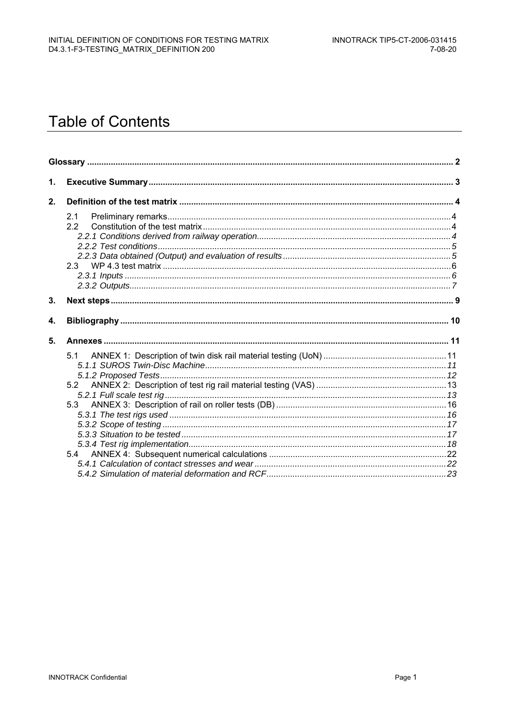# **Table of Contents**

| 2.1<br>22<br>2.3  |  |
|-------------------|--|
|                   |  |
|                   |  |
|                   |  |
| 5.1<br>5.2<br>5.3 |  |
|                   |  |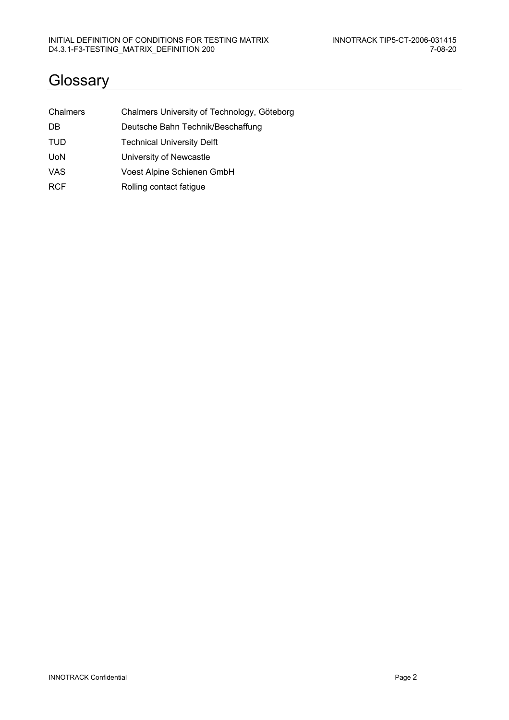## **Glossary**

| Chalmers   | Chalmers University of Technology, Göteborg |
|------------|---------------------------------------------|
| DB         | Deutsche Bahn Technik/Beschaffung           |
| <b>TUD</b> | <b>Technical University Delft</b>           |
| <b>UoN</b> | University of Newcastle                     |
| <b>VAS</b> | Voest Alpine Schienen GmbH                  |
| <b>RCF</b> | Rolling contact fatigue                     |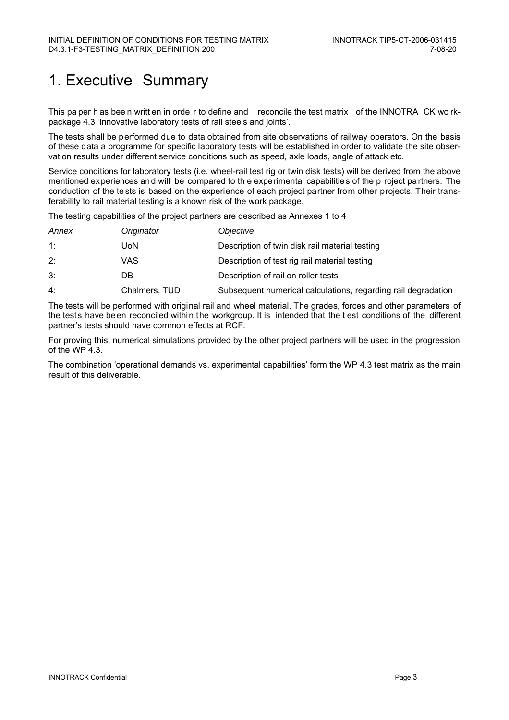# 1. Executive Summary

This pa per h as bee n writt en in orde r to define and reconcile the test matrix of the INNOTRA CK wo rkpackage 4.3 'Innovative laboratory tests of rail steels and joints'.

The tests shall be performed due to data obtained from site observations of railway operators. On the basis of these data a programme for specific laboratory tests will be established in order to validate the site observation results under different service conditions such as speed, axle loads, angle of attack etc.

Service conditions for laboratory tests (i.e. wheel-rail test rig or twin disk tests) will be derived from the above mentioned experiences and will be compared to th e experimental capabilities of the p roject partners. The conduction of the te sts is based on the experience of each project partner from other projects. Their transferability to rail material testing is a known risk of the work package.

The testing capabilities of the project partners are described as Annexes 1 to 4

| Annex | Originator    | Objective                                                     |
|-------|---------------|---------------------------------------------------------------|
| 1:    | UoN           | Description of twin disk rail material testing                |
| 2:    | VAS           | Description of test rig rail material testing                 |
| 3:    | DB            | Description of rail on roller tests                           |
| 4:    | Chalmers, TUD | Subsequent numerical calculations, regarding rail degradation |

The tests will be performed with original rail and wheel material. The grades, forces and other parameters of the tests have been reconciled within the workgroup. It is intended that the t est conditions of the different partner's tests should have common effects at RCF.

For proving this, numerical simulations provided by the other project partners will be used in the progression of the WP 4.3.

The combination 'operational demands vs. experimental capabilities' form the WP 4.3 test matrix as the main result of this deliverable.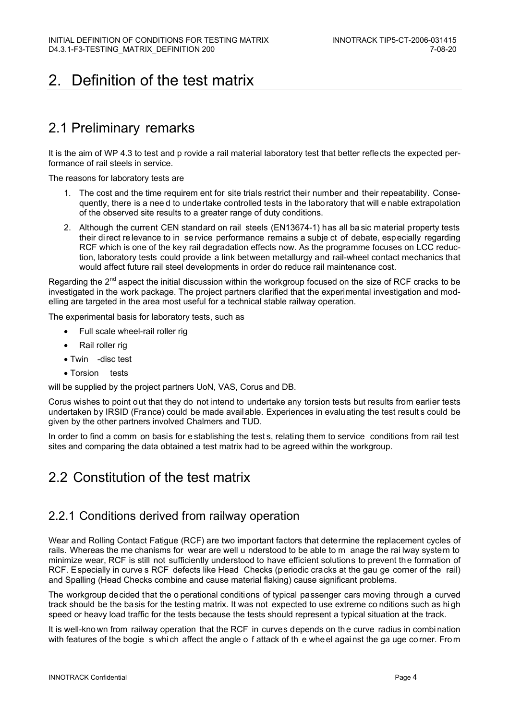# 2. Definition of the test matrix

# 2.1 Preliminary remarks

It is the aim of WP 4.3 to test and p rovide a rail material laboratory test that better reflects the expected performance of rail steels in service.

The reasons for laboratory tests are

- 1. The cost and the time requirem ent for site trials restrict their number and their repeatability. Consequently, there is a nee d to undertake controlled tests in the laboratory that will e nable extrapolation of the observed site results to a greater range of duty conditions.
- 2. Although the current CEN standard on rail steels (EN13674-1) has all ba sic material property tests their direct relevance to in service performance remains a subje ct of debate, especially regarding RCF which is one of the key rail degradation effects now. As the programme focuses on LCC reduction, laboratory tests could provide a link between metallurgy and rail-wheel contact mechanics that would affect future rail steel developments in order do reduce rail maintenance cost.

Regarding the 2<sup>nd</sup> aspect the initial discussion within the workgroup focused on the size of RCF cracks to be investigated in the work package. The project partners clarified that the experimental investigation and modelling are targeted in the area most useful for a technical stable railway operation.

The experimental basis for laboratory tests, such as

- Full scale wheel-rail roller rig
- Rail roller rig
- Twin -disc test
- Torsion tests

will be supplied by the project partners UoN, VAS, Corus and DB.

Corus wishes to point out that they do not intend to undertake any torsion tests but results from earlier tests undertaken by IRSID (France) could be made available. Experiences in evaluating the test result s could be given by the other partners involved Chalmers and TUD.

In order to find a comm on basis for e stablishing the test s, relating them to service conditions from rail test sites and comparing the data obtained a test matrix had to be agreed within the workgroup.

## 2.2 Constitution of the test matrix

#### 2.2.1 Conditions derived from railway operation

Wear and Rolling Contact Fatigue (RCF) are two important factors that determine the replacement cycles of rails. Whereas the me chanisms for wear are well u nderstood to be able to m anage the rai lway system to minimize wear, RCF is still not sufficiently understood to have efficient solutions to prevent the formation of RCF. Especially in curve s RCF defects like Head Checks (periodic cracks at the gau ge corner of the rail) and Spalling (Head Checks combine and cause material flaking) cause significant problems.

The workgroup decided that the o perational conditions of typical passenger cars moving through a curved track should be the basis for the testing matrix. It was not expected to use extreme co nditions such as hi gh speed or heavy load traffic for the tests because the tests should represent a typical situation at the track.

It is well-kno wn from railway operation that the RCF in curves depends on th e curve radius in combi nation with features of the bogie s which affect the angle o f attack of th e wheel against the ga uge corner. From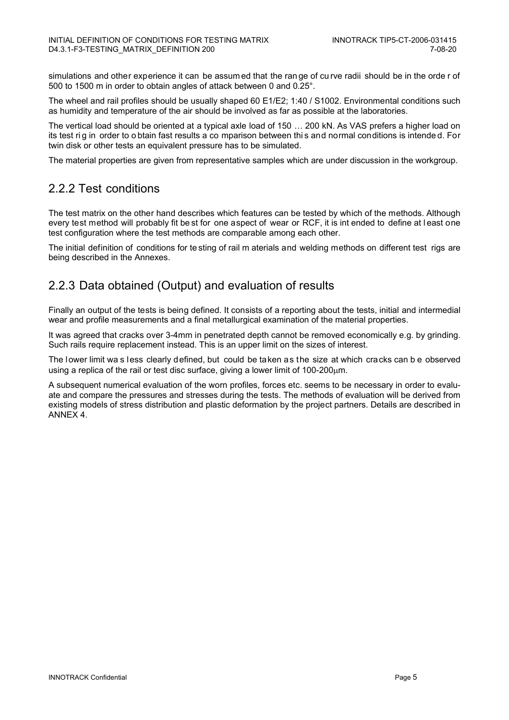simulations and other experience it can be assum ed that the ran ge of cu rve radii should be in the orde r of 500 to 1500 m in order to obtain angles of attack between 0 and 0.25°.

The wheel and rail profiles should be usually shaped 60 E1/E2; 1:40 / S1002. Environmental conditions such as humidity and temperature of the air should be involved as far as possible at the laboratories.

The vertical load should be oriented at a typical axle load of 150 … 200 kN. As VAS prefers a higher load on its test rig in order to obtain fast results a co mparison between this and normal conditions is intended. For twin disk or other tests an equivalent pressure has to be simulated.

The material properties are given from representative samples which are under discussion in the workgroup.

#### 2.2.2 Test conditions

The test matrix on the other hand describes which features can be tested by which of the methods. Although every test method will probably fit be st for one aspect of wear or RCF, it is int ended to define at l east one test configuration where the test methods are comparable among each other.

The initial definition of conditions for te sting of rail m aterials and welding methods on different test rigs are being described in the Annexes.

#### 2.2.3 Data obtained (Output) and evaluation of results

Finally an output of the tests is being defined. It consists of a reporting about the tests, initial and intermedial wear and profile measurements and a final metallurgical examination of the material properties.

It was agreed that cracks over 3-4mm in penetrated depth cannot be removed economically e.g. by grinding. Such rails require replacement instead. This is an upper limit on the sizes of interest.

The lower limit wa s less clearly defined, but could be taken as the size at which cracks can b e observed using a replica of the rail or test disc surface, giving a lower limit of 100-200μm.

A subsequent numerical evaluation of the worn profiles, forces etc. seems to be necessary in order to evaluate and compare the pressures and stresses during the tests. The methods of evaluation will be derived from existing models of stress distribution and plastic deformation by the project partners. Details are described in ANNEX 4.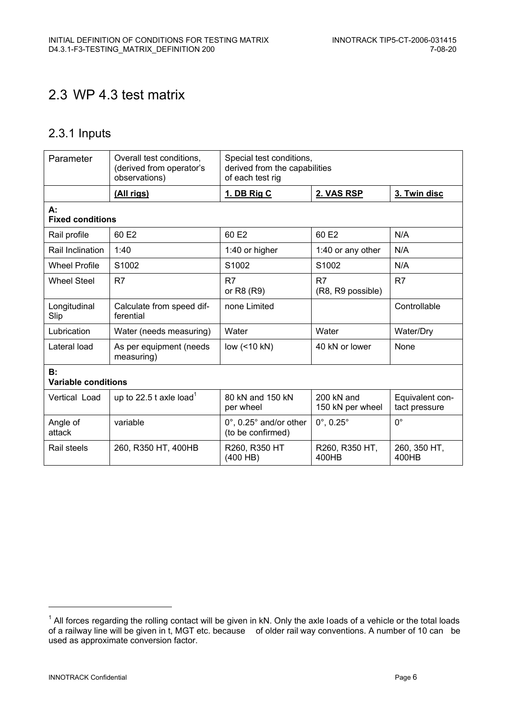## 2.3 WP 4.3 test matrix

### 2.3.1 Inputs

| Parameter                        | Overall test conditions,<br>(derived from operator's<br>observations) | Special test conditions,<br>derived from the capabilities<br>of each test rig |                                          |                                  |
|----------------------------------|-----------------------------------------------------------------------|-------------------------------------------------------------------------------|------------------------------------------|----------------------------------|
|                                  | (All rigs)                                                            | 1. DB Rig C                                                                   | 2. VAS RSP                               | 3. Twin disc                     |
| А:<br><b>Fixed conditions</b>    |                                                                       |                                                                               |                                          |                                  |
| Rail profile                     | 60 E <sub>2</sub>                                                     | 60 E <sub>2</sub>                                                             | 60 E2                                    | N/A                              |
| Rail Inclination                 | 1:40                                                                  | 1:40 or higher                                                                | 1:40 or any other                        | N/A                              |
| <b>Wheel Profile</b>             | S1002                                                                 | S1002                                                                         | S1002                                    | N/A                              |
| Wheel Steel                      | R7                                                                    | R7<br>or R8 (R9)                                                              | R7<br>(R8, R9 possible)                  | R <sub>7</sub>                   |
| Longitudinal<br>Slip             | Calculate from speed dif-<br>ferential                                | none Limited                                                                  |                                          | Controllable                     |
| Lubrication                      | Water (needs measuring)                                               | Water                                                                         | Water                                    | Water/Dry                        |
| Lateral load                     | As per equipment (needs<br>measuring)                                 | low (<10 kN)                                                                  | 40 kN or lower                           | None                             |
| B:<br><b>Variable conditions</b> |                                                                       |                                                                               |                                          |                                  |
| Vertical Load                    | up to 22.5 t axle load <sup>1</sup>                                   | 80 kN and 150 kN<br>per wheel                                                 | $200 \text{ kN}$ and<br>150 kN per wheel | Equivalent con-<br>tact pressure |
| Angle of<br>attack               | variable                                                              | 0°, 0.25° and/or other<br>(to be confirmed)                                   | $0^{\circ}$ , 0.25 $^{\circ}$            | $\Omega^{\circ}$                 |
| Rail steels                      | 260, R350 HT, 400HB                                                   | R260, R350 HT<br>$(400$ HB)                                                   | R260, R350 HT,<br>400HB                  | 260, 350 HT,<br>400HB            |

j

 $1$  All forces regarding the rolling contact will be given in kN. Only the axle loads of a vehicle or the total loads of a railway line will be given in t, MGT etc. because of older rail way conventions. A number of 10 can be used as approximate conversion factor.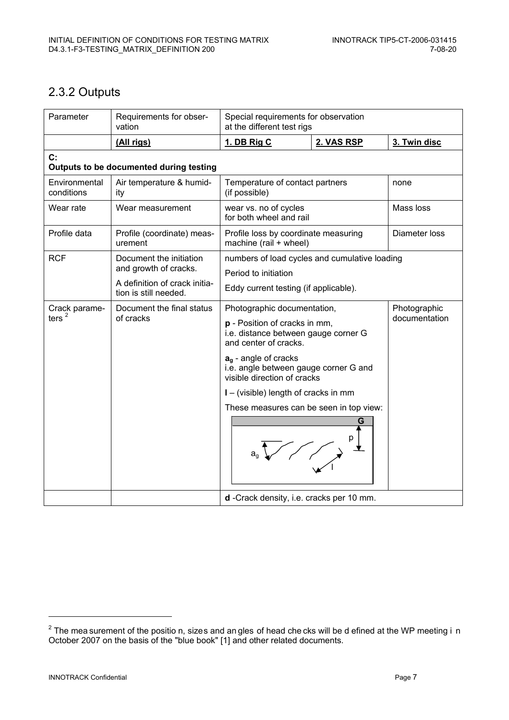### 2.3.2 Outputs

| Parameter                   | Requirements for obser-<br>vation                      | Special requirements for observation<br>at the different test rigs                                                            |            |                               |
|-----------------------------|--------------------------------------------------------|-------------------------------------------------------------------------------------------------------------------------------|------------|-------------------------------|
|                             | (All rigs)                                             | 1. DB Rig C                                                                                                                   | 2. VAS RSP | 3. Twin disc                  |
| C:                          | Outputs to be documented during testing                |                                                                                                                               |            |                               |
| Environmental<br>conditions | Air temperature & humid-<br>ity                        | Temperature of contact partners<br>none<br>(if possible)                                                                      |            |                               |
| Wear rate                   | Wear measurement                                       | wear vs. no of cycles<br>for both wheel and rail                                                                              |            | Mass loss                     |
| Profile data                | Profile (coordinate) meas-<br>urement                  | Diameter loss<br>Profile loss by coordinate measuring<br>machine (rail + wheel)                                               |            |                               |
| <b>RCF</b>                  | Document the initiation                                | numbers of load cycles and cumulative loading                                                                                 |            |                               |
|                             | and growth of cracks.                                  | Period to initiation                                                                                                          |            |                               |
|                             | A definition of crack initia-<br>tion is still needed. | Eddy current testing (if applicable).                                                                                         |            |                               |
| Crack parame-               | Document the final status                              | Photographic documentation,<br>p - Position of cracks in mm,<br>i.e. distance between gauge corner G<br>and center of cracks. |            | Photographic<br>documentation |
| ters $2$                    | of cracks                                              |                                                                                                                               |            |                               |
|                             |                                                        | $a_q$ - angle of cracks<br>i.e. angle between gauge corner G and<br>visible direction of cracks                               |            |                               |
|                             |                                                        | I – (visible) length of cracks in mm                                                                                          |            |                               |
|                             |                                                        | These measures can be seen in top view:                                                                                       |            |                               |
|                             |                                                        |                                                                                                                               | G          |                               |
|                             |                                                        | d -Crack density, i.e. cracks per 10 mm.                                                                                      |            |                               |

-

 $^{2}$  The mea surement of the positio n, sizes and an gles of head che cks will be d efined at the WP meeting i n October 2007 on the basis of the "blue book" [1] and other related documents.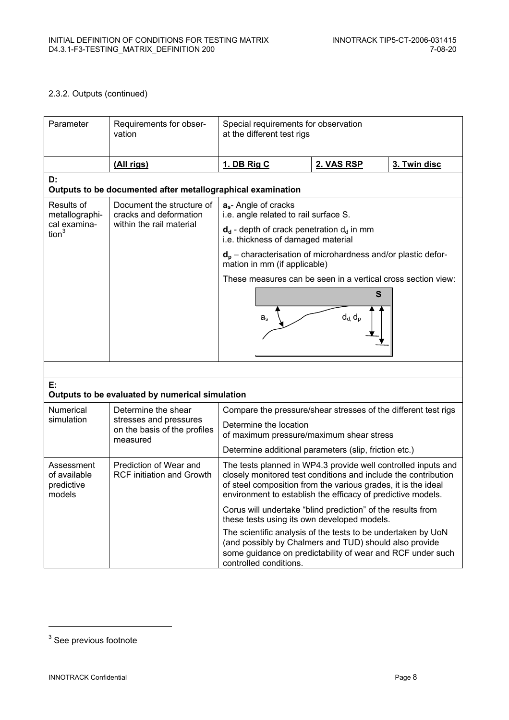#### 2.3.2. Outputs (continued)

| Parameter                                                                                                                                                                                                      | Requirements for obser-<br>vation                                               | Special requirements for observation<br>at the different test rigs                                                                                                                                                                                              |            |              |  |
|----------------------------------------------------------------------------------------------------------------------------------------------------------------------------------------------------------------|---------------------------------------------------------------------------------|-----------------------------------------------------------------------------------------------------------------------------------------------------------------------------------------------------------------------------------------------------------------|------------|--------------|--|
|                                                                                                                                                                                                                | <u>(All rigs)</u>                                                               | 1. DB Rig C                                                                                                                                                                                                                                                     | 2. VAS RSP | 3. Twin disc |  |
| D:                                                                                                                                                                                                             | Outputs to be documented after metallographical examination                     |                                                                                                                                                                                                                                                                 |            |              |  |
| Results of<br>metallographi-                                                                                                                                                                                   | Document the structure of<br>cracks and deformation<br>within the rail material | $a_s$ - Angle of cracks<br>i.e. angle related to rail surface S.                                                                                                                                                                                                |            |              |  |
| cal examina-<br>tion <sup>3</sup>                                                                                                                                                                              |                                                                                 | $d_d$ - depth of crack penetration $d_d$ in mm<br>i.e. thickness of damaged material                                                                                                                                                                            |            |              |  |
|                                                                                                                                                                                                                |                                                                                 | $d_p$ – characterisation of microhardness and/or plastic defor-<br>mation in mm (if applicable)                                                                                                                                                                 |            |              |  |
|                                                                                                                                                                                                                |                                                                                 | These measures can be seen in a vertical cross section view:                                                                                                                                                                                                    |            |              |  |
|                                                                                                                                                                                                                |                                                                                 |                                                                                                                                                                                                                                                                 | S          |              |  |
|                                                                                                                                                                                                                |                                                                                 | $d_d, d_p$<br>$a_{\rm s}$                                                                                                                                                                                                                                       |            |              |  |
|                                                                                                                                                                                                                |                                                                                 |                                                                                                                                                                                                                                                                 |            |              |  |
| E:                                                                                                                                                                                                             | Outputs to be evaluated by numerical simulation                                 |                                                                                                                                                                                                                                                                 |            |              |  |
| Numerical<br>Determine the shear<br>Compare the pressure/shear stresses of the different test rigs                                                                                                             |                                                                                 |                                                                                                                                                                                                                                                                 |            |              |  |
| simulation                                                                                                                                                                                                     | stresses and pressures<br>on the basis of the profiles<br>measured              | Determine the location<br>of maximum pressure/maximum shear stress                                                                                                                                                                                              |            |              |  |
|                                                                                                                                                                                                                |                                                                                 | Determine additional parameters (slip, friction etc.)                                                                                                                                                                                                           |            |              |  |
| Assessment<br>of available<br>predictive<br>models                                                                                                                                                             | Prediction of Wear and<br><b>RCF</b> initiation and Growth                      | The tests planned in WP4.3 provide well controlled inputs and<br>closely monitored test conditions and include the contribution<br>of steel composition from the various grades, it is the ideal<br>environment to establish the efficacy of predictive models. |            |              |  |
|                                                                                                                                                                                                                |                                                                                 | Corus will undertake "blind prediction" of the results from<br>these tests using its own developed models.                                                                                                                                                      |            |              |  |
| The scientific analysis of the tests to be undertaken by UoN<br>(and possibly by Chalmers and TUD) should also provide<br>some guidance on predictability of wear and RCF under such<br>controlled conditions. |                                                                                 |                                                                                                                                                                                                                                                                 |            |              |  |

-

 $3$  See previous footnote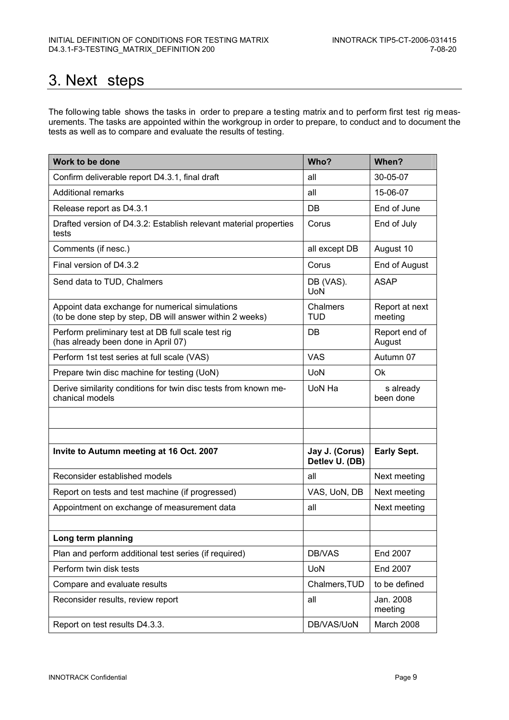# 3. Next steps

The following table shows the tasks in order to prepare a testing matrix and to perform first test rig measurements. The tasks are appointed within the workgroup in order to prepare, to conduct and to document the tests as well as to compare and evaluate the results of testing.

| Work to be done                                                                                             | Who?                             | When?                     |
|-------------------------------------------------------------------------------------------------------------|----------------------------------|---------------------------|
| Confirm deliverable report D4.3.1, final draft                                                              | all                              | 30-05-07                  |
| <b>Additional remarks</b>                                                                                   | all                              | 15-06-07                  |
| Release report as D4.3.1                                                                                    | DB                               | End of June               |
| Drafted version of D4.3.2: Establish relevant material properties<br>tests                                  | Corus                            | End of July               |
| Comments (if nesc.)                                                                                         | all except DB                    | August 10                 |
| Final version of D4.3.2                                                                                     | Corus                            | End of August             |
| Send data to TUD, Chalmers                                                                                  | DB (VAS).<br><b>UoN</b>          | <b>ASAP</b>               |
| Appoint data exchange for numerical simulations<br>(to be done step by step, DB will answer within 2 weeks) | Chalmers<br><b>TUD</b>           | Report at next<br>meeting |
| Perform preliminary test at DB full scale test rig<br>(has already been done in April 07)                   | DB                               | Report end of<br>August   |
| Perform 1st test series at full scale (VAS)                                                                 | <b>VAS</b>                       | Autumn 07                 |
| Prepare twin disc machine for testing (UoN)                                                                 | <b>UoN</b>                       | Ok                        |
| Derive similarity conditions for twin disc tests from known me-<br>chanical models                          | UoN Ha                           | s already<br>been done    |
|                                                                                                             |                                  |                           |
|                                                                                                             |                                  |                           |
| Invite to Autumn meeting at 16 Oct. 2007                                                                    | Jay J. (Corus)<br>Detlev U. (DB) | <b>Early Sept.</b>        |
| Reconsider established models                                                                               | all                              | Next meeting              |
| Report on tests and test machine (if progressed)                                                            | VAS, UoN, DB                     | Next meeting              |
| Appointment on exchange of measurement data                                                                 | all                              | Next meeting              |
|                                                                                                             |                                  |                           |
| Long term planning                                                                                          |                                  |                           |
| Plan and perform additional test series (if required)                                                       | DB/VAS                           | End 2007                  |
| Perform twin disk tests                                                                                     | <b>UoN</b>                       | End 2007                  |
| Compare and evaluate results                                                                                | Chalmers, TUD                    | to be defined             |
| Reconsider results, review report                                                                           | all                              | Jan. 2008<br>meeting      |
| Report on test results D4.3.3.                                                                              | DB/VAS/UoN                       | March 2008                |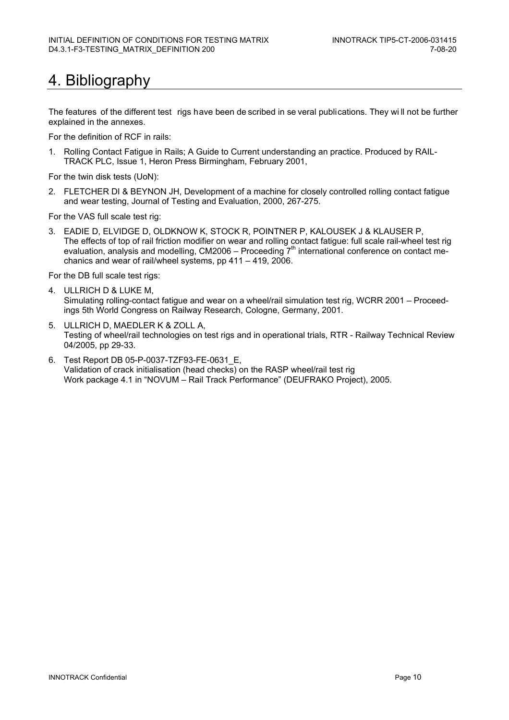# 4. Bibliography

The features of the different test rigs have been de scribed in se veral publications. They wi ll not be further explained in the annexes.

For the definition of RCF in rails:

1. Rolling Contact Fatigue in Rails; A Guide to Current understanding an practice. Produced by RAIL-TRACK PLC, Issue 1, Heron Press Birmingham, February 2001,

For the twin disk tests (UoN):

2. FLETCHER DI & BEYNON JH, Development of a machine for closely controlled rolling contact fatigue and wear testing, Journal of Testing and Evaluation, 2000, 267-275.

For the VAS full scale test rig:

3. EADIE D, ELVIDGE D, OLDKNOW K, STOCK R, POINTNER P, KALOUSEK J & KLAUSER P, The effects of top of rail friction modifier on wear and rolling contact fatigue: full scale rail-wheel test rig evaluation, analysis and modelling, CM2006 – Proceeding  $7<sup>th</sup>$  international conference on contact mechanics and wear of rail/wheel systems, pp 411 – 419, 2006.

For the DB full scale test rigs:

- 4. ULLRICH D & LUKE M, Simulating rolling-contact fatigue and wear on a wheel/rail simulation test rig, WCRR 2001 – Proceedings 5th World Congress on Railway Research, Cologne, Germany, 2001.
- 5. ULLRICH D, MAEDLER K & ZOLL A, Testing of wheel/rail technologies on test rigs and in operational trials, RTR - Railway Technical Review 04/2005, pp 29-33.
- 6. Test Report DB 05-P-0037-TZF93-FE-0631\_E, Validation of crack initialisation (head checks) on the RASP wheel/rail test rig Work package 4.1 in "NOVUM – Rail Track Performance" (DEUFRAKO Project), 2005.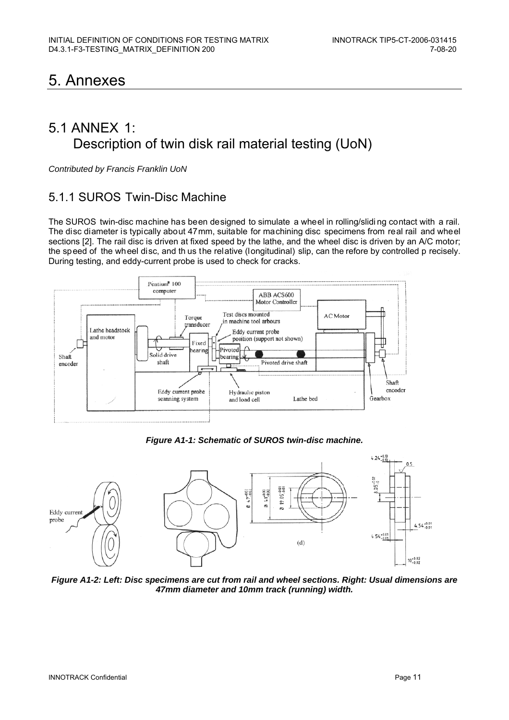# 5. Annexes

### 5.1 ANNEX 1: Description of twin disk rail material testing (UoN)

*Contributed by Francis Franklin UoN* 

#### 5.1.1 SUROS Twin-Disc Machine

The SUROS twin-disc machine has been designed to simulate a wheel in rolling/slidi ng contact with a rail. The disc diameter is typically about 47mm, suitable for machining disc specimens from real rail and wheel sections [2]. The rail disc is driven at fixed speed by the lathe, and the wheel disc is driven by an A/C motor; the speed of the wheel disc, and th us the relative (longitudinal) slip, can the refore by controlled p recisely. During testing, and eddy-current probe is used to check for cracks.



*Figure A1-1: Schematic of SUROS twin-disc machine.* 



*Figure A1-2: Left: Disc specimens are cut from rail and wheel sections. Right: Usual dimensions are 47mm diameter and 10mm track (running) width.*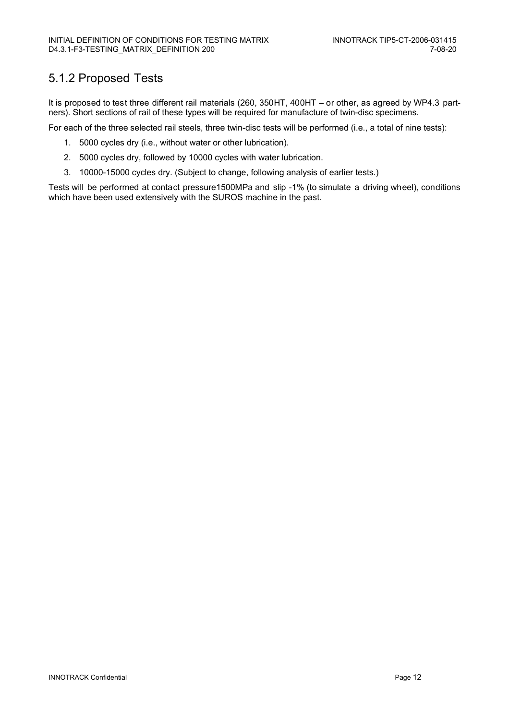### 5.1.2 Proposed Tests

It is proposed to test three different rail materials (260, 350HT, 400HT – or other, as agreed by WP4.3 partners). Short sections of rail of these types will be required for manufacture of twin-disc specimens.

For each of the three selected rail steels, three twin-disc tests will be performed (i.e., a total of nine tests):

- 1. 5000 cycles dry (i.e., without water or other lubrication).
- 2. 5000 cycles dry, followed by 10000 cycles with water lubrication.
- 3. 10000-15000 cycles dry. (Subject to change, following analysis of earlier tests.)

Tests will be performed at contact pressure1500MPa and slip -1% (to simulate a driving wheel), conditions which have been used extensively with the SUROS machine in the past.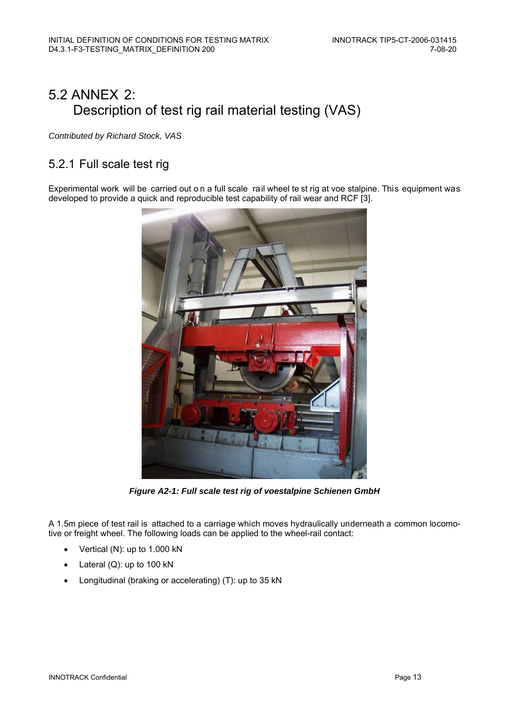# 5.2 ANNEX 2: Description of test rig rail material testing (VAS)

*Contributed by Richard Stock, VAS* 

### 5.2.1 Full scale test rig

Experimental work will be carried out o n a full scale rail wheel te st rig at voe stalpine. This equipment was developed to provide a quick and reproducible test capability of rail wear and RCF [3].



*Figure A2-1: Full scale test rig of voestalpine Schienen GmbH* 

A 1.5m piece of test rail is attached to a carriage which moves hydraulically underneath a common locomotive or freight wheel. The following loads can be applied to the wheel-rail contact:

- Vertical (N): up to 1.000 kN
- Lateral (Q): up to 100 kN
- Longitudinal (braking or accelerating) (T): up to 35 kN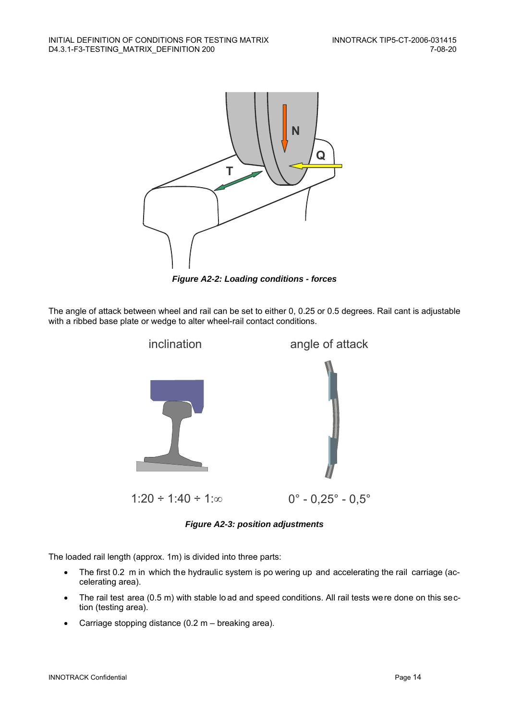

*Figure A2-2: Loading conditions - forces* 

The angle of attack between wheel and rail can be set to either 0, 0.25 or 0.5 degrees. Rail cant is adjustable with a ribbed base plate or wedge to alter wheel-rail contact conditions.



*Figure A2-3: position adjustments* 

The loaded rail length (approx. 1m) is divided into three parts:

- The first 0.2 m in which the hydraulic system is po wering up and accelerating the rail carriage (accelerating area).
- The rail test area (0.5 m) with stable lo ad and speed conditions. All rail tests were done on this section (testing area).
- Carriage stopping distance (0.2 m breaking area).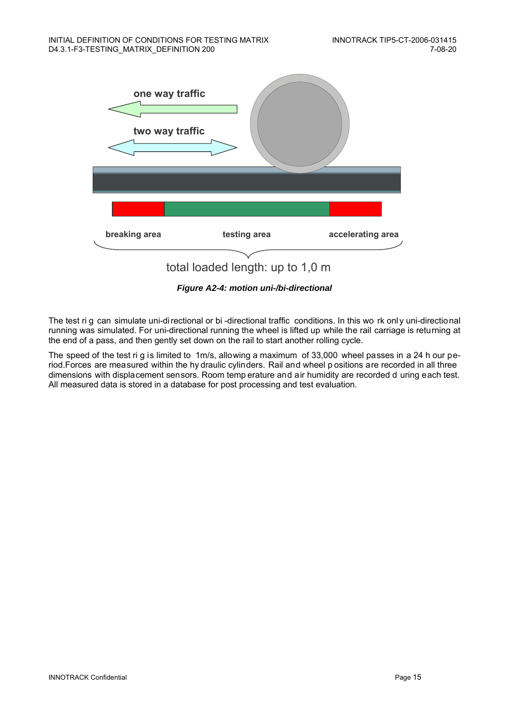

*Figure A2-4: motion uni-/bi-directional* 

The test ri g can simulate uni-directional or bi -directional traffic conditions. In this wo rk only uni-directional running was simulated. For uni-directional running the wheel is lifted up while the rail carriage is returning at the end of a pass, and then gently set down on the rail to start another rolling cycle.

The speed of the test ri g is limited to 1m/s, allowing a maximum of 33,000 wheel passes in a 24 h our period.Forces are measured within the hy draulic cylinders. Rail and wheel p ositions are recorded in all three dimensions with displacement sensors. Room temp erature and air humidity are recorded d uring each test. All measured data is stored in a database for post processing and test evaluation.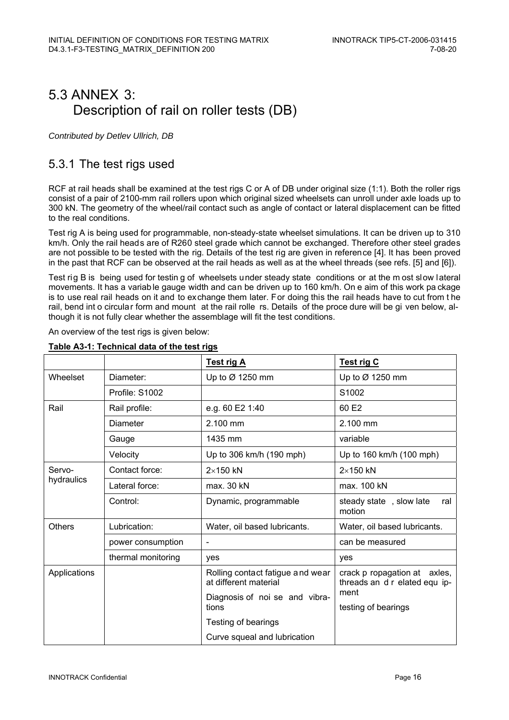## 5.3 ANNEX 3: Description of rail on roller tests (DB)

*Contributed by Detlev Ullrich, DB* 

#### 5.3.1 The test rigs used

RCF at rail heads shall be examined at the test rigs C or A of DB under original size (1:1). Both the roller rigs consist of a pair of 2100-mm rail rollers upon which original sized wheelsets can unroll under axle loads up to 300 kN. The geometry of the wheel/rail contact such as angle of contact or lateral displacement can be fitted to the real conditions.

Test rig A is being used for programmable, non-steady-state wheelset simulations. It can be driven up to 310 km/h. Only the rail heads are of R260 steel grade which cannot be exchanged. Therefore other steel grades are not possible to be tested with the rig. Details of the test rig are given in reference [4]. It has been proved in the past that RCF can be observed at the rail heads as well as at the wheel threads (see refs. [5] and [6]).

Test rig B is being used for testin g of wheelsets under steady state conditions or at the m ost slow lateral movements. It has a variab le gauge width and can be driven up to 160 km/h. On e aim of this work pa ckage is to use real rail heads on it and to exchange them later. For doing this the rail heads have to cut from t he rail, bend int o circular form and mount at the rail rolle rs. Details of the proce dure will be gi ven below, although it is not fully clear whether the assemblage will fit the test conditions.

An overview of the test rigs is given below:

|               |                    | <b>Test rig A</b>                                         | <b>Test rig C</b>                                             |
|---------------|--------------------|-----------------------------------------------------------|---------------------------------------------------------------|
| Wheelset      | Diameter:          | Up to Ø 1250 mm                                           | Up to Ø 1250 mm                                               |
|               | Profile: S1002     |                                                           | S1002                                                         |
| Rail          | Rail profile:      | e.g. 60 E2 1:40                                           | 60 E2                                                         |
|               | Diameter           | 2.100 mm                                                  | 2.100 mm                                                      |
|               | Gauge              | 1435 mm                                                   | variable                                                      |
|               | Velocity           | Up to 306 km/h (190 mph)                                  | Up to 160 km/h (100 mph)                                      |
| Servo-        | Contact force:     | $2\times150$ kN                                           | $2\times150$ kN                                               |
| hydraulics    | Lateral force:     | max. 30 kN                                                | max. 100 kN                                                   |
|               | Control:           | Dynamic, programmable                                     | steady state, slow late<br>ral<br>motion                      |
| <b>Others</b> | Lubrication:       | Water, oil based lubricants.                              | Water, oil based lubricants.                                  |
|               | power consumption  |                                                           | can be measured                                               |
|               | thermal monitoring | yes                                                       | yes                                                           |
| Applications  |                    | Rolling contact fatigue and wear<br>at different material | crack p ropagation at axles,<br>threads an d r elated equ ip- |
|               |                    | Diagnosis of noi se and vibra-<br>tions                   | ment<br>testing of bearings                                   |
|               |                    | Testing of bearings                                       |                                                               |
|               |                    | Curve squeal and lubrication                              |                                                               |

#### **Table A3-1: Technical data of the test rigs**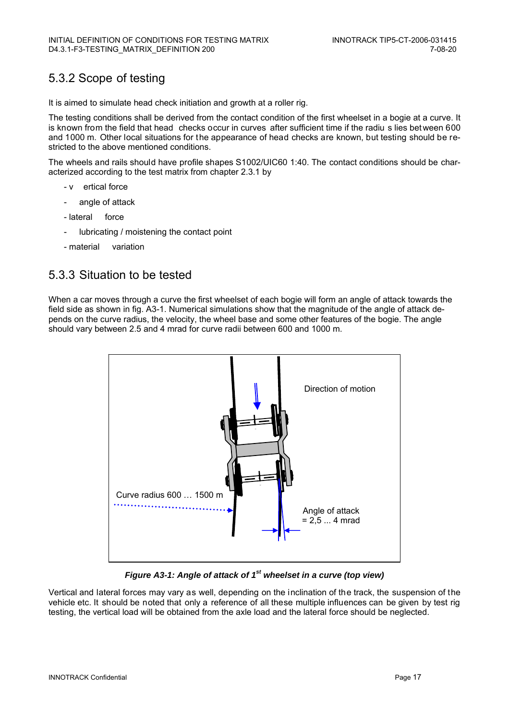### 5.3.2 Scope of testing

It is aimed to simulate head check initiation and growth at a roller rig.

The testing conditions shall be derived from the contact condition of the first wheelset in a bogie at a curve. It is known from the field that head checks occur in curves after sufficient time if the radiu s lies bet ween 600 and 1000 m. Other local situations for the appearance of head checks are known, but testing should be restricted to the above mentioned conditions.

The wheels and rails should have profile shapes S1002/UIC60 1:40. The contact conditions should be characterized according to the test matrix from chapter 2.3.1 by

- v ertical force
- angle of attack
- lateral force
- lubricating / moistening the contact point
- material variation

#### 5.3.3 Situation to be tested

When a car moves through a curve the first wheelset of each bogie will form an angle of attack towards the field side as shown in fig. A3-1. Numerical simulations show that the magnitude of the angle of attack depends on the curve radius, the velocity, the wheel base and some other features of the bogie. The angle should vary between 2.5 and 4 mrad for curve radii between 600 and 1000 m.



*Figure A3-1: Angle of attack of 1st wheelset in a curve (top view)* 

Vertical and lateral forces may vary as well, depending on the inclination of the track, the suspension of the vehicle etc. It should be noted that only a reference of all these multiple influences can be given by test rig testing, the vertical load will be obtained from the axle load and the lateral force should be neglected.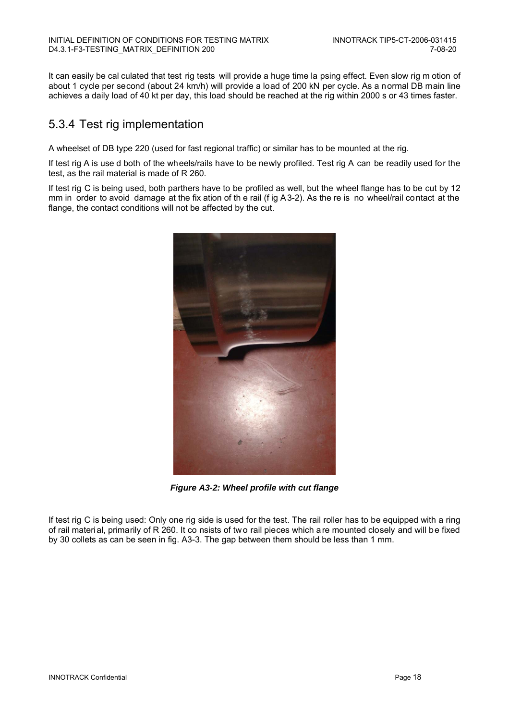It can easily be cal culated that test rig tests will provide a huge time la psing effect. Even slow rig m otion of about 1 cycle per second (about 24 km/h) will provide a load of 200 kN per cycle. As a normal DB main line achieves a daily load of 40 kt per day, this load should be reached at the rig within 2000 s or 43 times faster.

### 5.3.4 Test rig implementation

A wheelset of DB type 220 (used for fast regional traffic) or similar has to be mounted at the rig.

If test rig A is use d both of the wheels/rails have to be newly profiled. Test rig A can be readily used for the test, as the rail material is made of R 260.

If test rig C is being used, both parthers have to be profiled as well, but the wheel flange has to be cut by 12 mm in order to avoid damage at the fix ation of th e rail (f ig A3-2). As the re is no wheel/rail contact at the flange, the contact conditions will not be affected by the cut.



*Figure A3-2: Wheel profile with cut flange* 

If test rig C is being used: Only one rig side is used for the test. The rail roller has to be equipped with a ring of rail material, primarily of R 260. It co nsists of two rail pieces which are mounted closely and will be fixed by 30 collets as can be seen in fig. A3-3. The gap between them should be less than 1 mm.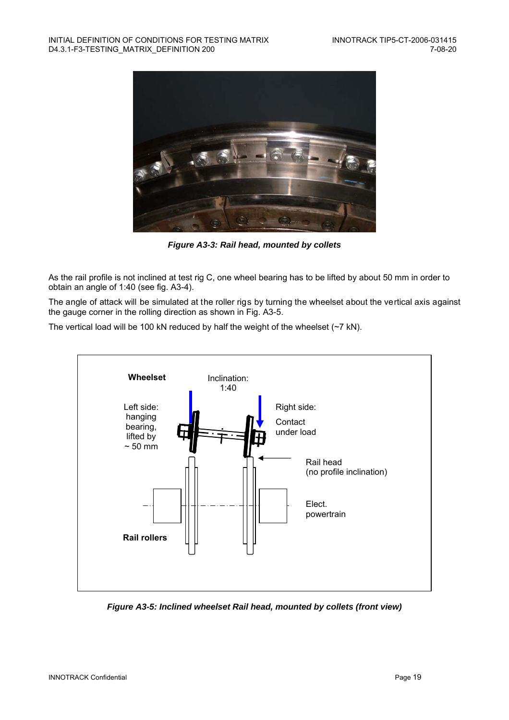

*Figure A3-3: Rail head, mounted by collets* 

As the rail profile is not inclined at test rig C, one wheel bearing has to be lifted by about 50 mm in order to obtain an angle of 1:40 (see fig. A3-4).

The angle of attack will be simulated at the roller rigs by turning the wheelset about the vertical axis against the gauge corner in the rolling direction as shown in Fig. A3-5.

The vertical load will be 100 kN reduced by half the weight of the wheelset (~7 kN).



*Figure A3-5: Inclined wheelset Rail head, mounted by collets (front view)*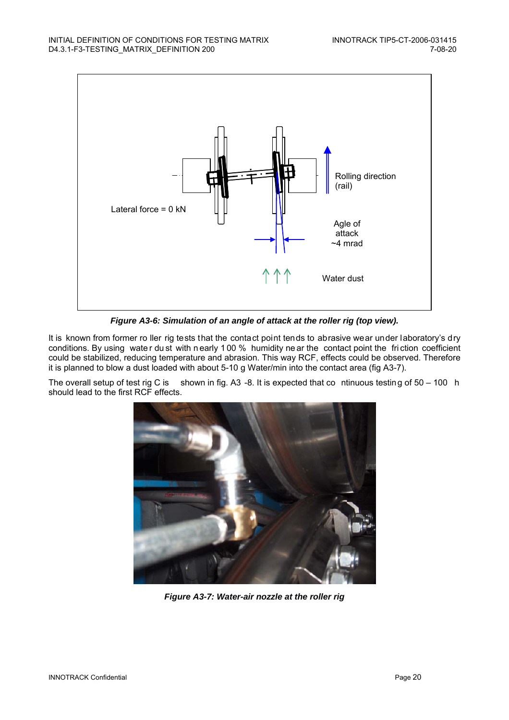

*Figure A3-6: Simulation of an angle of attack at the roller rig (top view).* 

It is known from former ro ller rig tests that the contact point tends to abrasive wear under laboratory's dry conditions. By using wate r du st with n early 1 00 % humidity ne ar the contact point the fri ction coefficient could be stabilized, reducing temperature and abrasion. This way RCF, effects could be observed. Therefore it is planned to blow a dust loaded with about 5-10 g Water/min into the contact area (fig A3-7).

The overall setup of test rig C is shown in fig. A3 -8. It is expected that continuous testing of  $50 - 100$  h should lead to the first RCF effects.



*Figure A3-7: Water-air nozzle at the roller rig*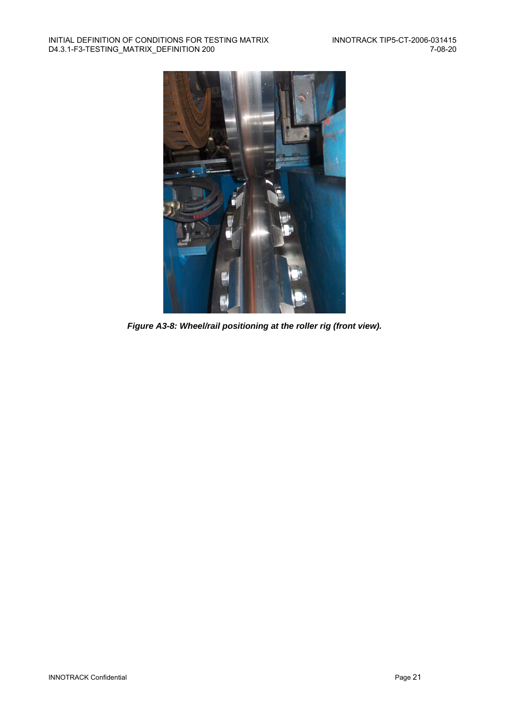

*Figure A3-8: Wheel/rail positioning at the roller rig (front view).*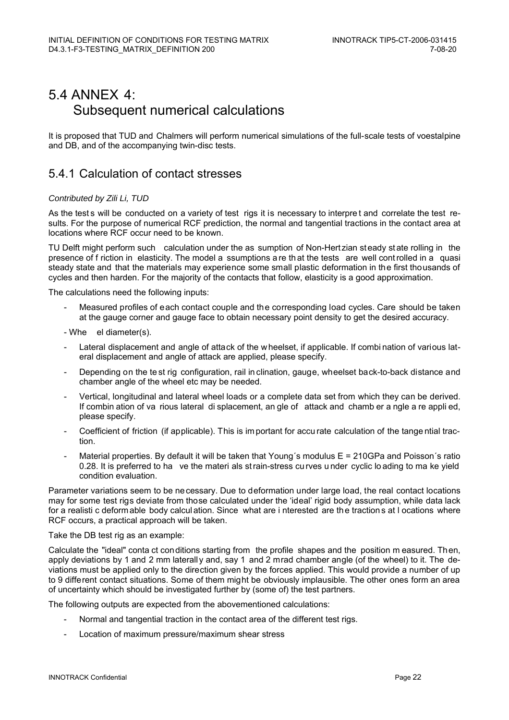# 5.4 ANNEX 4: Subsequent numerical calculations

It is proposed that TUD and Chalmers will perform numerical simulations of the full-scale tests of voestalpine and DB, and of the accompanying twin-disc tests.

#### 5.4.1 Calculation of contact stresses

#### *Contributed by Zili Li, TUD*

As the test s will be conducted on a variety of test rigs it is necessary to interpre t and correlate the test results. For the purpose of numerical RCF prediction, the normal and tangential tractions in the contact area at locations where RCF occur need to be known.

TU Delft might perform such calculation under the as sumption of Non-Hertzian steady state rolling in the presence of f riction in elasticity. The model a ssumptions a re th at the tests are well cont rolled in a quasi steady state and that the materials may experience some small plastic deformation in the first thousands of cycles and then harden. For the majority of the contacts that follow, elasticity is a good approximation.

The calculations need the following inputs:

- Measured profiles of each contact couple and the corresponding load cycles. Care should be taken at the gauge corner and gauge face to obtain necessary point density to get the desired accuracy.
- Whe el diameter(s).
- Lateral displacement and angle of attack of the w heelset, if applicable. If combination of various lateral displacement and angle of attack are applied, please specify.
- Depending on the te st rig configuration, rail in clination, gauge, wheelset back-to-back distance and chamber angle of the wheel etc may be needed.
- Vertical, longitudinal and lateral wheel loads or a complete data set from which they can be derived. If combin ation of va rious lateral di splacement, an gle of attack and chamb er a ngle a re appli ed, please specify.
- Coefficient of friction (if applicable). This is im portant for accu rate calculation of the tange ntial traction.
- Material properties. By default it will be taken that Young's modulus  $E = 210GPa$  and Poisson's ratio 0.28. It is preferred to ha ve the materi als st rain-stress cu rves u nder cyclic lo ading to ma ke yield condition evaluation.

Parameter variations seem to be necessary. Due to deformation under large load, the real contact locations may for some test rigs deviate from those calculated under the 'ideal' rigid body assumption, while data lack for a realisti c deformable body calcul ation. Since what are i nterested are the tractions at l ocations where RCF occurs, a practical approach will be taken.

#### Take the DB test rig as an example:

Calculate the "ideal" conta ct conditions starting from the profile shapes and the position m easured. Then, apply deviations by 1 and 2 mm laterally and, say 1 and 2 mrad chamber angle (of the wheel) to it. The deviations must be applied only to the direction given by the forces applied. This would provide a number of up to 9 different contact situations. Some of them might be obviously implausible. The other ones form an area of uncertainty which should be investigated further by (some of) the test partners.

The following outputs are expected from the abovementioned calculations:

- Normal and tangential traction in the contact area of the different test rigs.
- Location of maximum pressure/maximum shear stress